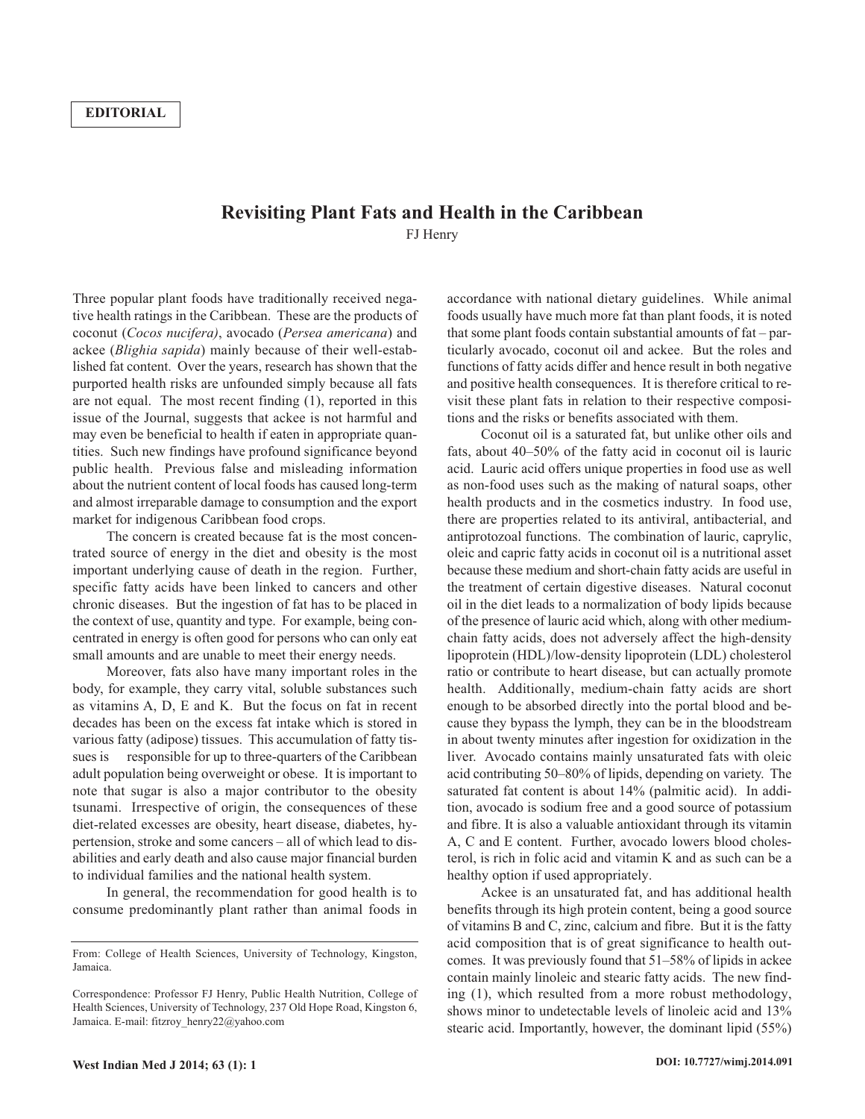## **Revisiting Plant Fats and Health in the Caribbean** FJ Henry

Three popular plant foods have traditionally received negative health ratings in the Caribbean. These are the products of coconut (*Cocos nucifera)*, avocado (*Persea americana*) and ackee (*Blighia sapida*) mainly because of their well-established fat content. Over the years, research has shown that the purported health risks are unfounded simply because all fats are not equal. The most recent finding (1), reported in this issue of the Journal, suggests that ackee is not harmful and may even be beneficial to health if eaten in appropriate quantities. Such new findings have profound significance beyond public health. Previous false and misleading information about the nutrient content of local foods has caused long-term and almost irreparable damage to consumption and the export market for indigenous Caribbean food crops.

The concern is created because fat is the most concentrated source of energy in the diet and obesity is the most important underlying cause of death in the region. Further, specific fatty acids have been linked to cancers and other chronic diseases. But the ingestion of fat has to be placed in the context of use, quantity and type. For example, being concentrated in energy is often good for persons who can only eat small amounts and are unable to meet their energy needs.

Moreover, fats also have many important roles in the body, for example, they carry vital, soluble substances such as vitamins A, D, E and K. But the focus on fat in recent decades has been on the excess fat intake which is stored in various fatty (adipose) tissues. This accumulation of fatty tissues is responsible for up to three-quarters of the Caribbean adult population being overweight or obese. It is important to note that sugar is also a major contributor to the obesity tsunami. Irrespective of origin, the consequences of these diet-related excesses are obesity, heart disease, diabetes, hypertension, stroke and some cancers – all of which lead to disabilities and early death and also cause major financial burden to individual families and the national health system.

In general, the recommendation for good health is to consume predominantly plant rather than animal foods in accordance with national dietary guidelines. While animal foods usually have much more fat than plant foods, it is noted that some plant foods contain substantial amounts of fat – particularly avocado, coconut oil and ackee. But the roles and functions of fatty acids differ and hence result in both negative and positive health consequences. It is therefore critical to revisit these plant fats in relation to their respective compositions and the risks or benefits associated with them.

Coconut oil is a saturated fat, but unlike other oils and fats, about 40–50% of the fatty acid in coconut oil is lauric acid. Lauric acid offers unique properties in food use as well as non-food uses such as the making of natural soaps, other health products and in the cosmetics industry. In food use, there are properties related to its antiviral, antibacterial, and antiprotozoal functions. The combination of lauric, caprylic, oleic and capric fatty acids in coconut oil is a nutritional asset because these medium and short-chain fatty acids are useful in the treatment of certain digestive diseases. Natural coconut oil in the diet leads to a normalization of body lipids because of the presence of lauric acid which, along with other mediumchain fatty acids, does not adversely affect the high-density lipoprotein (HDL)/low-density lipoprotein (LDL) cholesterol ratio or contribute to heart disease, but can actually promote health. Additionally, medium-chain fatty acids are short enough to be absorbed directly into the portal blood and because they bypass the lymph, they can be in the bloodstream in about twenty minutes after ingestion for oxidization in the liver. Avocado contains mainly unsaturated fats with oleic acid contributing 50–80% of lipids, depending on variety. The saturated fat content is about 14% (palmitic acid). In addition, avocado is sodium free and a good source of potassium and fibre. It is also a valuable antioxidant through its vitamin A, C and E content. Further, avocado lowers blood cholesterol, is rich in folic acid and vitamin K and as such can be a healthy option if used appropriately.

Ackee is an unsaturated fat, and has additional health benefits through its high protein content, being a good source of vitamins B and C, zinc, calcium and fibre. But it is the fatty acid composition that is of great significance to health outcomes. It was previously found that 51–58% of lipids in ackee contain mainly linoleic and stearic fatty acids. The new finding (1), which resulted from a more robust methodology, shows minor to undetectable levels of linoleic acid and 13% stearic acid. Importantly, however, the dominant lipid (55%)

From: College of Health Sciences, University of Technology, Kingston, Jamaica.

Correspondence: Professor FJ Henry, Public Health Nutrition, College of Health Sciences, University of Technology, 237 Old Hope Road, Kingston 6, Jamaica. E-mail: fitzroy\_henry22@yahoo.com